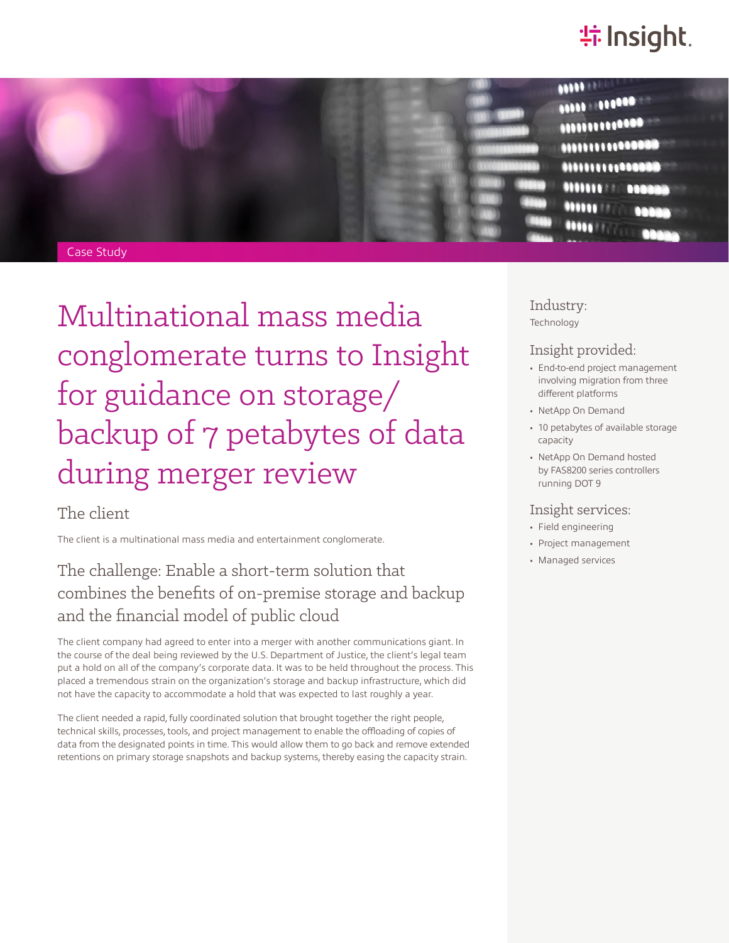# **特Insight**



Case Study

Multinational mass media conglomerate turns to Insight for guidance on storage/ backup of 7 petabytes of data during merger review

### The client

The client is a multinational mass media and entertainment conglomerate.

## The challenge: Enable a short-term solution that combines the benefits of on-premise storage and backup and the financial model of public cloud

The client company had agreed to enter into a merger with another communications giant. In the course of the deal being reviewed by the U.S. Department of Justice, the client's legal team put a hold on all of the company's corporate data. It was to be held throughout the process. This placed a tremendous strain on the organization's storage and backup infrastructure, which did not have the capacity to accommodate a hold that was expected to last roughly a year.

The client needed a rapid, fully coordinated solution that brought together the right people, technical skills, processes, tools, and project management to enable the offloading of copies of data from the designated points in time. This would allow them to go back and remove extended retentions on primary storage snapshots and backup systems, thereby easing the capacity strain.

Industry: Technology

#### Insight provided:

- End-to-end project management involving migration from three different platforms
- NetApp On Demand
- 10 petabytes of available storage capacity
- NetApp On Demand hosted by FAS8200 series controllers running DOT 9

#### Insight services:

- Field engineering
- Project management
- Managed services